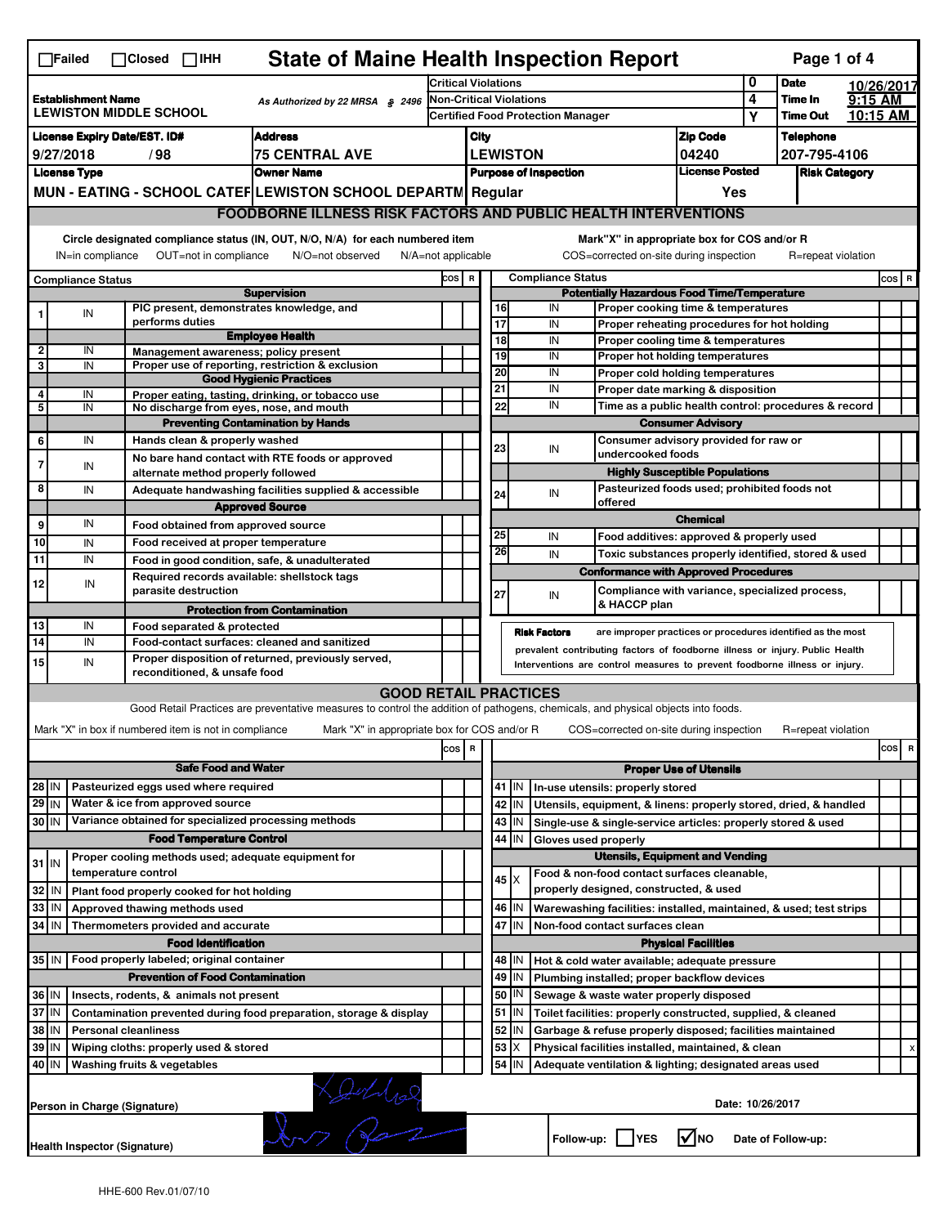|                                                                                                 | <b>State of Maine Health Inspection Report</b><br>Page 1 of 4<br>$\Box$ Failed<br>$\Box$ Closed $\Box$ IHH                                                                                                                                                                                |                                                                     |                                                                                                                                   |                                     |                                                   |                                                                                                      |                                          |                                        |                                                                            |                               |                                                      |                                  |                       |     |       |
|-------------------------------------------------------------------------------------------------|-------------------------------------------------------------------------------------------------------------------------------------------------------------------------------------------------------------------------------------------------------------------------------------------|---------------------------------------------------------------------|-----------------------------------------------------------------------------------------------------------------------------------|-------------------------------------|---------------------------------------------------|------------------------------------------------------------------------------------------------------|------------------------------------------|----------------------------------------|----------------------------------------------------------------------------|-------------------------------|------------------------------------------------------|----------------------------------|-----------------------|-----|-------|
|                                                                                                 |                                                                                                                                                                                                                                                                                           |                                                                     |                                                                                                                                   | <b>Critical Violations</b>          |                                                   |                                                                                                      |                                          |                                        |                                                                            |                               | 0                                                    | <b>Date</b>                      | 10/26/2017            |     |       |
| <b>Establishment Name</b><br>As Authorized by 22 MRSA $$$ 2496<br><b>LEWISTON MIDDLE SCHOOL</b> |                                                                                                                                                                                                                                                                                           |                                                                     |                                                                                                                                   |                                     | Non-Critical Violations                           |                                                                                                      |                                          |                                        |                                                                            |                               | 4<br>Υ                                               | Time In<br><b>Time Out</b>       | $9:15$ AM<br>10:15 AM |     |       |
|                                                                                                 |                                                                                                                                                                                                                                                                                           |                                                                     |                                                                                                                                   |                                     |                                                   |                                                                                                      | <b>Certified Food Protection Manager</b> |                                        |                                                                            |                               |                                                      |                                  |                       |     |       |
| <b>Address</b><br><b>License Expiry Date/EST. ID#</b>                                           |                                                                                                                                                                                                                                                                                           |                                                                     |                                                                                                                                   |                                     |                                                   | <b>Zip Code</b><br>City                                                                              |                                          |                                        |                                                                            |                               |                                                      | <b>Telephone</b><br>207-795-4106 |                       |     |       |
| 9/27/2018<br>/98<br><b>75 CENTRAL AVE</b>                                                       |                                                                                                                                                                                                                                                                                           |                                                                     |                                                                                                                                   |                                     | <b>LEWISTON</b><br>04240<br><b>License Posted</b> |                                                                                                      |                                          |                                        |                                                                            | <b>Risk Category</b>          |                                                      |                                  |                       |     |       |
| <b>Owner Name</b><br><b>License Type</b>                                                        |                                                                                                                                                                                                                                                                                           |                                                                     |                                                                                                                                   | <b>Purpose of Inspection</b><br>Yes |                                                   |                                                                                                      |                                          |                                        |                                                                            |                               |                                                      |                                  |                       |     |       |
|                                                                                                 | MUN - EATING - SCHOOL CATEF LEWISTON SCHOOL DEPARTN Regular                                                                                                                                                                                                                               |                                                                     |                                                                                                                                   |                                     |                                                   |                                                                                                      |                                          |                                        |                                                                            |                               |                                                      |                                  |                       |     |       |
|                                                                                                 | <b>FOODBORNE ILLNESS RISK FACTORS AND PUBLIC HEALTH INTERVENTIONS</b>                                                                                                                                                                                                                     |                                                                     |                                                                                                                                   |                                     |                                                   |                                                                                                      |                                          |                                        |                                                                            |                               |                                                      |                                  |                       |     |       |
|                                                                                                 | Circle designated compliance status (IN, OUT, N/O, N/A) for each numbered item<br>Mark"X" in appropriate box for COS and/or R<br>IN=in compliance<br>OUT=not in compliance<br>COS=corrected on-site during inspection<br>R=repeat violation<br>N/O=not observed<br>$N/A = not$ applicable |                                                                     |                                                                                                                                   |                                     |                                                   |                                                                                                      |                                          |                                        |                                                                            |                               |                                                      |                                  |                       |     |       |
| <b>Compliance Status</b>                                                                        |                                                                                                                                                                                                                                                                                           |                                                                     |                                                                                                                                   |                                     |                                                   | <b>Compliance Status</b><br>COS R                                                                    |                                          |                                        |                                                                            |                               |                                                      |                                  |                       |     | COS R |
| <b>Supervision</b><br>PIC present, demonstrates knowledge, and                                  |                                                                                                                                                                                                                                                                                           |                                                                     |                                                                                                                                   |                                     |                                                   | <b>Potentially Hazardous Food Time/Temperature</b><br>16<br>IN<br>Proper cooking time & temperatures |                                          |                                        |                                                                            |                               |                                                      |                                  |                       |     |       |
|                                                                                                 | IN                                                                                                                                                                                                                                                                                        | performs duties                                                     |                                                                                                                                   |                                     |                                                   | $\overline{17}$                                                                                      |                                          | IN                                     | Proper reheating procedures for hot holding                                |                               |                                                      |                                  |                       |     |       |
|                                                                                                 |                                                                                                                                                                                                                                                                                           |                                                                     | <b>Employee Health</b>                                                                                                            |                                     |                                                   | 18                                                                                                   |                                          | IN                                     | Proper cooling time & temperatures                                         |                               |                                                      |                                  |                       |     |       |
| $\overline{2}$                                                                                  | IN                                                                                                                                                                                                                                                                                        | Management awareness; policy present                                |                                                                                                                                   |                                     |                                                   | 19                                                                                                   |                                          | IN                                     | Proper hot holding temperatures                                            |                               |                                                      |                                  |                       |     |       |
| 3                                                                                               | IN                                                                                                                                                                                                                                                                                        |                                                                     | Proper use of reporting, restriction & exclusion<br><b>Good Hygienic Practices</b>                                                |                                     |                                                   | 20                                                                                                   |                                          | IN                                     | Proper cold holding temperatures                                           |                               |                                                      |                                  |                       |     |       |
| 4                                                                                               | IN                                                                                                                                                                                                                                                                                        |                                                                     | Proper eating, tasting, drinking, or tobacco use                                                                                  |                                     |                                                   | 21                                                                                                   |                                          | IN                                     | Proper date marking & disposition                                          |                               |                                                      |                                  |                       |     |       |
| 5                                                                                               | IN                                                                                                                                                                                                                                                                                        | No discharge from eyes, nose, and mouth                             |                                                                                                                                   |                                     |                                                   | 22                                                                                                   |                                          | IN                                     |                                                                            |                               | Time as a public health control: procedures & record |                                  |                       |     |       |
|                                                                                                 |                                                                                                                                                                                                                                                                                           |                                                                     | <b>Preventing Contamination by Hands</b>                                                                                          |                                     |                                                   |                                                                                                      |                                          |                                        | <b>Consumer Advisory</b>                                                   |                               |                                                      |                                  |                       |     |       |
| 6                                                                                               | IN                                                                                                                                                                                                                                                                                        | Hands clean & properly washed                                       |                                                                                                                                   |                                     |                                                   | 23                                                                                                   |                                          | IN                                     | Consumer advisory provided for raw or<br>undercooked foods                 |                               |                                                      |                                  |                       |     |       |
| 7                                                                                               | IN                                                                                                                                                                                                                                                                                        |                                                                     | No bare hand contact with RTE foods or approved                                                                                   |                                     |                                                   |                                                                                                      |                                          |                                        |                                                                            |                               |                                                      |                                  |                       |     |       |
|                                                                                                 |                                                                                                                                                                                                                                                                                           | alternate method properly followed                                  |                                                                                                                                   |                                     |                                                   |                                                                                                      |                                          |                                        | <b>Highly Susceptible Populations</b>                                      |                               |                                                      |                                  |                       |     |       |
| 8                                                                                               | IN                                                                                                                                                                                                                                                                                        |                                                                     | Adequate handwashing facilities supplied & accessible                                                                             |                                     |                                                   | 24                                                                                                   |                                          | IN                                     | Pasteurized foods used; prohibited foods not<br>offered                    |                               |                                                      |                                  |                       |     |       |
|                                                                                                 |                                                                                                                                                                                                                                                                                           |                                                                     | <b>Approved Source</b>                                                                                                            |                                     |                                                   |                                                                                                      |                                          |                                        |                                                                            | <b>Chemical</b>               |                                                      |                                  |                       |     |       |
| 9                                                                                               | IN                                                                                                                                                                                                                                                                                        | Food obtained from approved source                                  |                                                                                                                                   |                                     |                                                   | 25                                                                                                   |                                          | IN                                     | Food additives: approved & properly used                                   |                               |                                                      |                                  |                       |     |       |
| 10<br>11                                                                                        | IN<br>IN                                                                                                                                                                                                                                                                                  | Food received at proper temperature                                 |                                                                                                                                   |                                     |                                                   | 26                                                                                                   |                                          | IN                                     | Toxic substances properly identified, stored & used                        |                               |                                                      |                                  |                       |     |       |
|                                                                                                 |                                                                                                                                                                                                                                                                                           |                                                                     | Food in good condition, safe, & unadulterated                                                                                     |                                     |                                                   |                                                                                                      |                                          |                                        | <b>Conformance with Approved Procedures</b>                                |                               |                                                      |                                  |                       |     |       |
| 12                                                                                              | IN                                                                                                                                                                                                                                                                                        | Required records available: shellstock tags<br>parasite destruction |                                                                                                                                   |                                     |                                                   | 27                                                                                                   |                                          | IN                                     | Compliance with variance, specialized process,<br>& HACCP plan             |                               |                                                      |                                  |                       |     |       |
|                                                                                                 |                                                                                                                                                                                                                                                                                           |                                                                     | <b>Protection from Contamination</b>                                                                                              |                                     |                                                   |                                                                                                      |                                          |                                        |                                                                            |                               |                                                      |                                  |                       |     |       |
| 13<br>14                                                                                        | IN                                                                                                                                                                                                                                                                                        | Food separated & protected                                          |                                                                                                                                   |                                     |                                                   |                                                                                                      |                                          | <b>Risk Factors</b>                    | are improper practices or procedures identified as the most                |                               |                                                      |                                  |                       |     |       |
|                                                                                                 | IN<br>Food-contact surfaces: cleaned and sanitized<br>prevalent contributing factors of foodborne illness or injury. Public Health<br>Proper disposition of returned, previously served,                                                                                                  |                                                                     |                                                                                                                                   |                                     |                                                   |                                                                                                      |                                          |                                        |                                                                            |                               |                                                      |                                  |                       |     |       |
| 15                                                                                              | IN                                                                                                                                                                                                                                                                                        | reconditioned, & unsafe food                                        |                                                                                                                                   |                                     |                                                   |                                                                                                      |                                          |                                        | Interventions are control measures to prevent foodborne illness or injury. |                               |                                                      |                                  |                       |     |       |
|                                                                                                 |                                                                                                                                                                                                                                                                                           |                                                                     | <b>GOOD RETAIL PRACTICES</b>                                                                                                      |                                     |                                                   |                                                                                                      |                                          |                                        |                                                                            |                               |                                                      |                                  |                       |     |       |
|                                                                                                 |                                                                                                                                                                                                                                                                                           |                                                                     | Good Retail Practices are preventative measures to control the addition of pathogens, chemicals, and physical objects into foods. |                                     |                                                   |                                                                                                      |                                          |                                        |                                                                            |                               |                                                      |                                  |                       |     |       |
|                                                                                                 |                                                                                                                                                                                                                                                                                           | Mark "X" in box if numbered item is not in compliance               | Mark "X" in appropriate box for COS and/or R                                                                                      |                                     |                                                   |                                                                                                      |                                          |                                        | COS=corrected on-site during inspection                                    |                               |                                                      | R=repeat violation               |                       |     |       |
|                                                                                                 |                                                                                                                                                                                                                                                                                           |                                                                     |                                                                                                                                   | cos                                 | R                                                 |                                                                                                      |                                          |                                        |                                                                            |                               |                                                      |                                  |                       | cos | R     |
|                                                                                                 |                                                                                                                                                                                                                                                                                           | <b>Safe Food and Water</b>                                          |                                                                                                                                   |                                     |                                                   |                                                                                                      |                                          |                                        |                                                                            | <b>Proper Use of Utensils</b> |                                                      |                                  |                       |     |       |
| 28 IN                                                                                           |                                                                                                                                                                                                                                                                                           | Pasteurized eggs used where required                                |                                                                                                                                   |                                     |                                                   |                                                                                                      | 41   IN                                  |                                        | In-use utensils: properly stored                                           |                               |                                                      |                                  |                       |     |       |
| $29$ IN                                                                                         |                                                                                                                                                                                                                                                                                           | Water & ice from approved source                                    |                                                                                                                                   |                                     |                                                   |                                                                                                      | 42 IN                                    |                                        | Utensils, equipment, & linens: properly stored, dried, & handled           |                               |                                                      |                                  |                       |     |       |
| 30 IN                                                                                           |                                                                                                                                                                                                                                                                                           | Variance obtained for specialized processing methods                |                                                                                                                                   |                                     |                                                   |                                                                                                      | $43$   IN                                |                                        | Single-use & single-service articles: properly stored & used               |                               |                                                      |                                  |                       |     |       |
|                                                                                                 |                                                                                                                                                                                                                                                                                           | <b>Food Temperature Control</b>                                     |                                                                                                                                   |                                     |                                                   | 44                                                                                                   | IΙN                                      | Gloves used properly                   |                                                                            |                               |                                                      |                                  |                       |     |       |
|                                                                                                 |                                                                                                                                                                                                                                                                                           | Proper cooling methods used; adequate equipment for                 |                                                                                                                                   |                                     |                                                   |                                                                                                      |                                          | <b>Utensils, Equipment and Vending</b> |                                                                            |                               |                                                      |                                  |                       |     |       |
| $31$ IN                                                                                         |                                                                                                                                                                                                                                                                                           | temperature control                                                 |                                                                                                                                   |                                     |                                                   |                                                                                                      |                                          |                                        | Food & non-food contact surfaces cleanable.                                |                               |                                                      |                                  |                       |     |       |
| 32                                                                                              | ۱N                                                                                                                                                                                                                                                                                        | Plant food properly cooked for hot holding                          |                                                                                                                                   |                                     |                                                   |                                                                                                      | 45 X                                     |                                        | properly designed, constructed, & used                                     |                               |                                                      |                                  |                       |     |       |
| 33 IN                                                                                           |                                                                                                                                                                                                                                                                                           | Approved thawing methods used                                       |                                                                                                                                   |                                     |                                                   |                                                                                                      | 46   IN                                  |                                        | Warewashing facilities: installed, maintained, & used; test strips         |                               |                                                      |                                  |                       |     |       |
| 34 IN                                                                                           |                                                                                                                                                                                                                                                                                           | Thermometers provided and accurate                                  |                                                                                                                                   |                                     |                                                   |                                                                                                      | 47 IN                                    |                                        | Non-food contact surfaces clean                                            |                               |                                                      |                                  |                       |     |       |
|                                                                                                 |                                                                                                                                                                                                                                                                                           | <b>Food Identification</b>                                          |                                                                                                                                   |                                     |                                                   |                                                                                                      |                                          |                                        |                                                                            | <b>Physical Facilities</b>    |                                                      |                                  |                       |     |       |
|                                                                                                 |                                                                                                                                                                                                                                                                                           | 35 IN   Food properly labeled; original container                   |                                                                                                                                   |                                     |                                                   |                                                                                                      | 48   IN                                  |                                        | Hot & cold water available; adequate pressure                              |                               |                                                      |                                  |                       |     |       |
| <b>Prevention of Food Contamination</b>                                                         |                                                                                                                                                                                                                                                                                           |                                                                     |                                                                                                                                   |                                     |                                                   | 49                                                                                                   | IN                                       |                                        | Plumbing installed; proper backflow devices                                |                               |                                                      |                                  |                       |     |       |
| 36 IN                                                                                           |                                                                                                                                                                                                                                                                                           | Insects, rodents, & animals not present                             |                                                                                                                                   |                                     |                                                   |                                                                                                      | 50   IN                                  |                                        | Sewage & waste water properly disposed                                     |                               |                                                      |                                  |                       |     |       |
| 37<br>ΙM<br>Contamination prevented during food preparation, storage & display                  |                                                                                                                                                                                                                                                                                           |                                                                     |                                                                                                                                   |                                     |                                                   | 51                                                                                                   | IN.                                      |                                        | Toilet facilities: properly constructed, supplied, & cleaned               |                               |                                                      |                                  |                       |     |       |
| 38 IN<br><b>Personal cleanliness</b>                                                            |                                                                                                                                                                                                                                                                                           |                                                                     |                                                                                                                                   |                                     |                                                   | 52                                                                                                   | IN                                       |                                        | Garbage & refuse properly disposed; facilities maintained                  |                               |                                                      |                                  |                       |     |       |
| 39 IN<br>Wiping cloths: properly used & stored                                                  |                                                                                                                                                                                                                                                                                           |                                                                     |                                                                                                                                   |                                     |                                                   | 53                                                                                                   | Х                                        |                                        | Physical facilities installed, maintained, & clean                         |                               |                                                      |                                  |                       |     |       |
| 40   IN                                                                                         |                                                                                                                                                                                                                                                                                           | Washing fruits & vegetables                                         |                                                                                                                                   |                                     |                                                   |                                                                                                      | 54 J IN                                  |                                        | Adequate ventilation & lighting; designated areas used                     |                               |                                                      |                                  |                       |     |       |
|                                                                                                 |                                                                                                                                                                                                                                                                                           | Person in Charge (Signature)                                        |                                                                                                                                   |                                     |                                                   |                                                                                                      |                                          |                                        |                                                                            | Date: 10/26/2017              |                                                      |                                  |                       |     |       |
|                                                                                                 |                                                                                                                                                                                                                                                                                           |                                                                     | Loura                                                                                                                             |                                     |                                                   |                                                                                                      |                                          |                                        | Follow-up:     YES                                                         | l√lno                         |                                                      | Date of Follow-up:               |                       |     |       |
|                                                                                                 |                                                                                                                                                                                                                                                                                           | <b>Health Inspector (Signature)</b>                                 |                                                                                                                                   |                                     |                                                   |                                                                                                      |                                          |                                        |                                                                            |                               |                                                      |                                  |                       |     |       |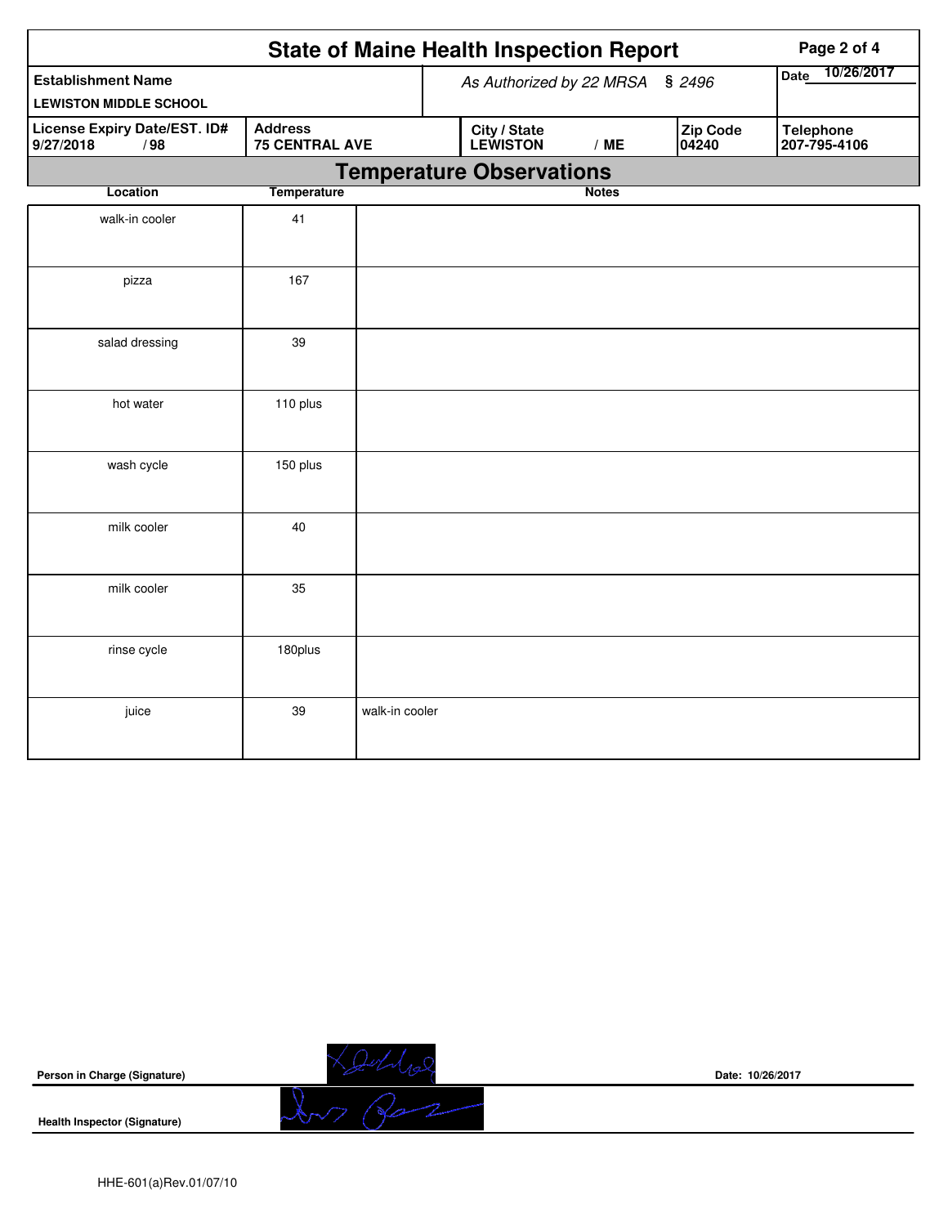| <b>State of Maine Health Inspection Report</b><br>Page 2 of 4                               |                    |                          |                                 |              |                   |                                  |  |  |
|---------------------------------------------------------------------------------------------|--------------------|--------------------------|---------------------------------|--------------|-------------------|----------------------------------|--|--|
| <b>Establishment Name</b>                                                                   |                    | As Authorized by 22 MRSA | 10/26/2017<br>Date              |              |                   |                                  |  |  |
| <b>LEWISTON MIDDLE SCHOOL</b>                                                               |                    |                          |                                 |              |                   |                                  |  |  |
| License Expiry Date/EST. ID#<br><b>Address</b><br><b>75 CENTRAL AVE</b><br>9/27/2018<br>/98 |                    |                          | City / State<br><b>LEWISTON</b> | /ME          | Zip Code<br>04240 | <b>Telephone</b><br>207-795-4106 |  |  |
|                                                                                             |                    |                          | <b>Temperature Observations</b> |              |                   |                                  |  |  |
| Location                                                                                    | <b>Temperature</b> |                          |                                 | <b>Notes</b> |                   |                                  |  |  |
| walk-in cooler                                                                              | 41                 |                          |                                 |              |                   |                                  |  |  |
| pizza                                                                                       | 167                |                          |                                 |              |                   |                                  |  |  |
| salad dressing                                                                              | 39                 |                          |                                 |              |                   |                                  |  |  |
| hot water                                                                                   | 110 plus           |                          |                                 |              |                   |                                  |  |  |
| wash cycle                                                                                  | 150 plus           |                          |                                 |              |                   |                                  |  |  |
| milk cooler                                                                                 | 40                 |                          |                                 |              |                   |                                  |  |  |
| milk cooler                                                                                 | 35                 |                          |                                 |              |                   |                                  |  |  |
| rinse cycle                                                                                 | 180plus            |                          |                                 |              |                   |                                  |  |  |
| juice                                                                                       | 39                 | walk-in cooler           |                                 |              |                   |                                  |  |  |



Loudraz

**Date: 10/26/2017**

**Health Inspector (Signature)**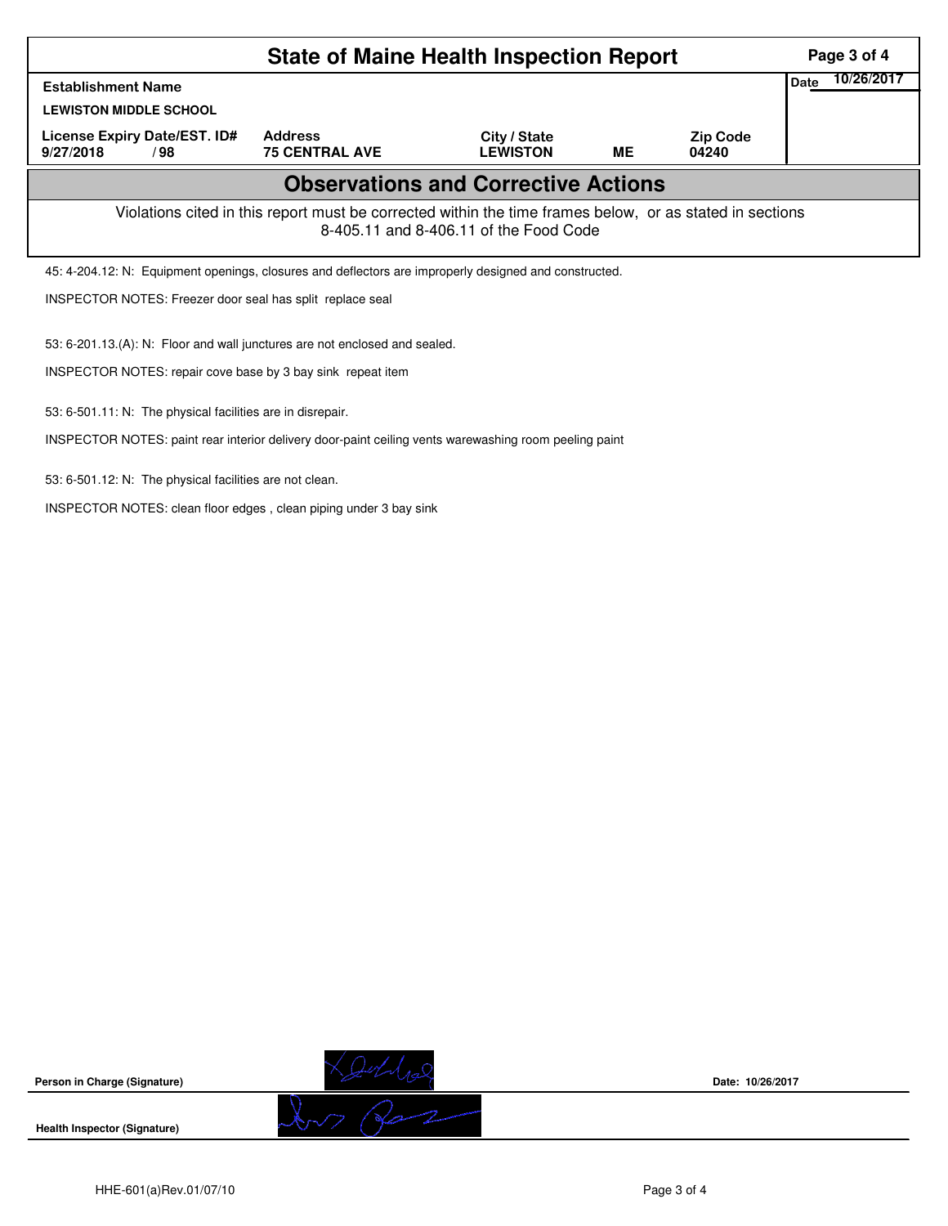|                                                                                                                                                    | Page 3 of 4                             |                                 |    |                          |      |            |  |  |
|----------------------------------------------------------------------------------------------------------------------------------------------------|-----------------------------------------|---------------------------------|----|--------------------------|------|------------|--|--|
| <b>Establishment Name</b>                                                                                                                          |                                         |                                 |    |                          | Date | 10/26/2017 |  |  |
| <b>LEWISTON MIDDLE SCHOOL</b>                                                                                                                      |                                         |                                 |    |                          |      |            |  |  |
| License Expiry Date/EST. ID#<br>9/27/2018<br>/98                                                                                                   | <b>Address</b><br><b>75 CENTRAL AVE</b> | City / State<br><b>LEWISTON</b> | ME | <b>Zip Code</b><br>04240 |      |            |  |  |
| <b>Observations and Corrective Actions</b>                                                                                                         |                                         |                                 |    |                          |      |            |  |  |
| Violations cited in this report must be corrected within the time frames below, or as stated in sections<br>8-405.11 and 8-406.11 of the Food Code |                                         |                                 |    |                          |      |            |  |  |
| 45: 4-204.12: N: Equipment openings, closures and deflectors are improperly designed and constructed.                                              |                                         |                                 |    |                          |      |            |  |  |
| INSPECTOR NOTES: Freezer door seal has split replace seal                                                                                          |                                         |                                 |    |                          |      |            |  |  |
| 53: 6-201.13.(A): N: Floor and wall junctures are not enclosed and sealed.                                                                         |                                         |                                 |    |                          |      |            |  |  |
| INSPECTOR NOTES: repair cove base by 3 bay sink repeat item                                                                                        |                                         |                                 |    |                          |      |            |  |  |
| 53: 6-501.11: N: The physical facilities are in disrepair.                                                                                         |                                         |                                 |    |                          |      |            |  |  |
| INSPECTOR NOTES: paint rear interior delivery door-paint ceiling vents warewashing room peeling paint                                              |                                         |                                 |    |                          |      |            |  |  |

53: 6-501.12: N: The physical facilities are not clean.

INSPECTOR NOTES: clean floor edges , clean piping under 3 bay sink



**Health Inspector (Signature)** 



**Date: 10/26/2017**